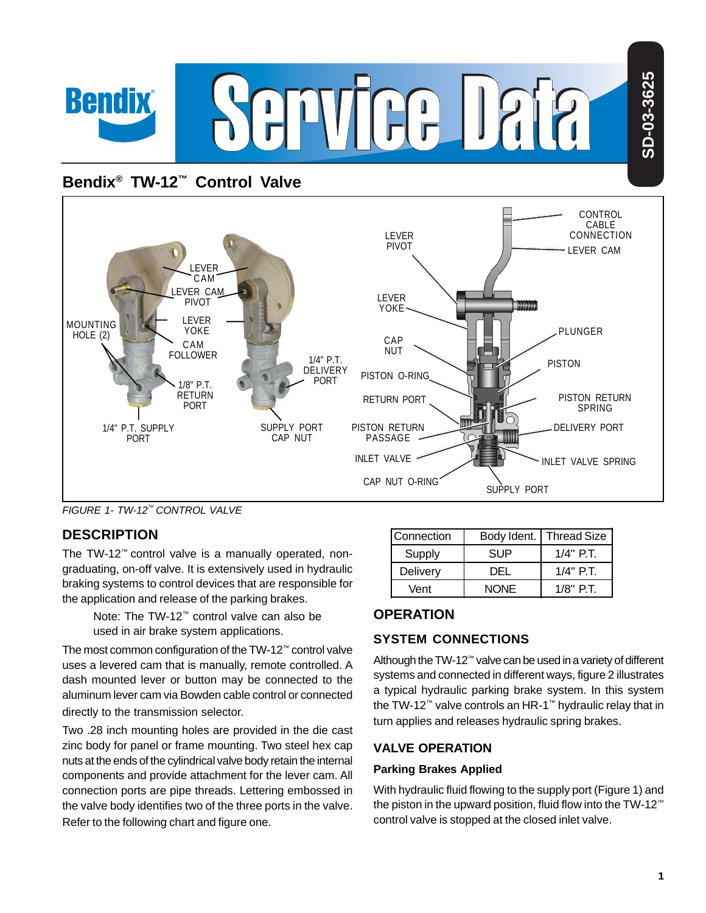

# **Bendix® TW-12™ Control Valve**



*FIGURE 1- TW-12TM CONTROL VALVE*

## **DESCRIPTION**

The TW-12™ control valve is a manually operated, nongraduating, on-off valve. It is extensively used in hydraulic braking systems to control devices that are responsible for the application and release of the parking brakes.

> Note: The TW-12™ control valve can also be used in air brake system applications.

The most common configuration of the TW-12™ control valve uses a levered cam that is manually, remote controlled. A dash mounted lever or button may be connected to the aluminum lever cam via Bowden cable control or connected directly to the transmission selector.

Two .28 inch mounting holes are provided in the die cast zinc body for panel or frame mounting. Two steel hex cap nuts at the ends of the cylindrical valve body retain the internal components and provide attachment for the lever cam. All connection ports are pipe threads. Lettering embossed in the valve body identifies two of the three ports in the valve. Refer to the following chart and figure one.

| <b>Connection</b> | Body Ident. | <b>Thread Size</b> |
|-------------------|-------------|--------------------|
| Supply            | SUP.        | $1/4"$ P.T.        |
| Delivery          | DEL.        | $1/4"$ P.T.        |
| Vent              | <b>NONE</b> | $1/8"$ PT          |

## **OPERATION**

## **SYSTEM CONNECTIONS**

Although the TW-12™ valve can be used in a variety of different systems and connected in different ways, figure 2 illustrates a typical hydraulic parking brake system. In this system the TW-12™ valve controls an HR-1™ hydraulic relay that in turn applies and releases hydraulic spring brakes.

## **VALVE OPERATION**

#### **Parking Brakes Applied**

With hydraulic fluid flowing to the supply port (Figure 1) and the piston in the upward position, fluid flow into the TW-12™ control valve is stopped at the closed inlet valve.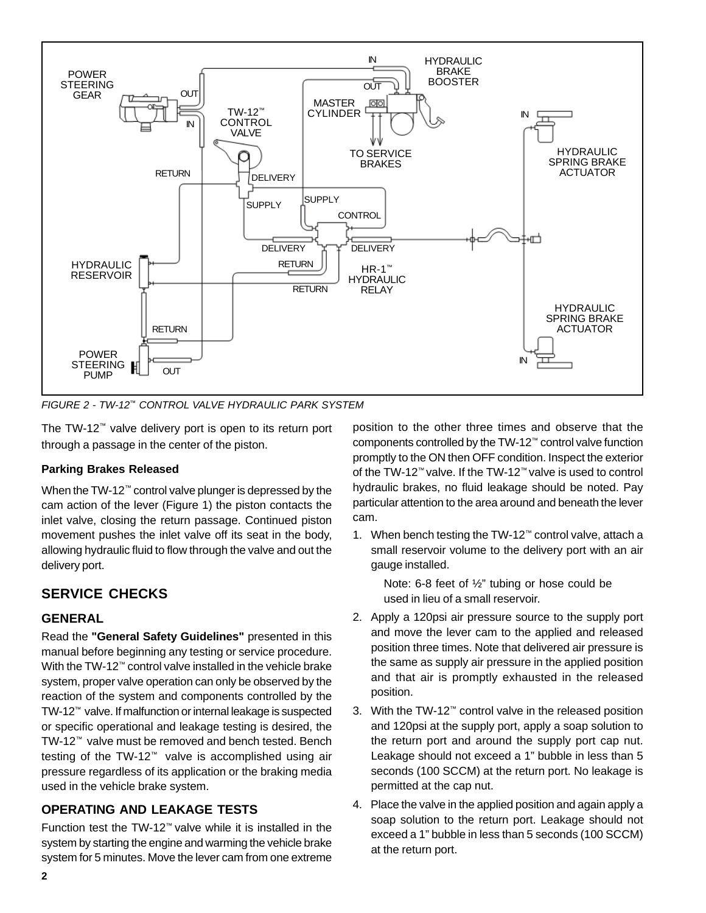

*FIGURE 2 - TW-12™ CONTROL VALVE HYDRAULIC PARK SYSTEM*

The TW-12™ valve delivery port is open to its return port through a passage in the center of the piston.

#### **Parking Brakes Released**

When the TW-12™ control valve plunger is depressed by the cam action of the lever (Figure 1) the piston contacts the inlet valve, closing the return passage. Continued piston movement pushes the inlet valve off its seat in the body, allowing hydraulic fluid to flow through the valve and out the delivery port.

## **SERVICE CHECKS**

#### **GENERAL**

Read the **"General Safety Guidelines"** presented in this manual before beginning any testing or service procedure. With the TW-12™ control valve installed in the vehicle brake system, proper valve operation can only be observed by the reaction of the system and components controlled by the TW-12™ valve. If malfunction or internal leakage is suspected or specific operational and leakage testing is desired, the TW-12™ valve must be removed and bench tested. Bench testing of the TW-12™ valve is accomplished using air pressure regardless of its application or the braking media used in the vehicle brake system.

## **OPERATING AND LEAKAGE TESTS**

Function test the TW-12™ valve while it is installed in the system by starting the engine and warming the vehicle brake system for 5 minutes. Move the lever cam from one extreme

position to the other three times and observe that the components controlled by the TW-12™ control valve function promptly to the ON then OFF condition. Inspect the exterior of the TW-12™ valve. If the TW-12™ valve is used to control hydraulic brakes, no fluid leakage should be noted. Pay particular attention to the area around and beneath the lever cam.

1. When bench testing the TW-12™ control valve, attach a small reservoir volume to the delivery port with an air gauge installed.

> Note: 6-8 feet of ½" tubing or hose could be used in lieu of a small reservoir.

- 2. Apply a 120psi air pressure source to the supply port and move the lever cam to the applied and released position three times. Note that delivered air pressure is the same as supply air pressure in the applied position and that air is promptly exhausted in the released position.
- 3. With the TW-12™ control valve in the released position and 120psi at the supply port, apply a soap solution to the return port and around the supply port cap nut. Leakage should not exceed a 1" bubble in less than 5 seconds (100 SCCM) at the return port. No leakage is permitted at the cap nut.
- 4. Place the valve in the applied position and again apply a soap solution to the return port. Leakage should not exceed a 1" bubble in less than 5 seconds (100 SCCM) at the return port.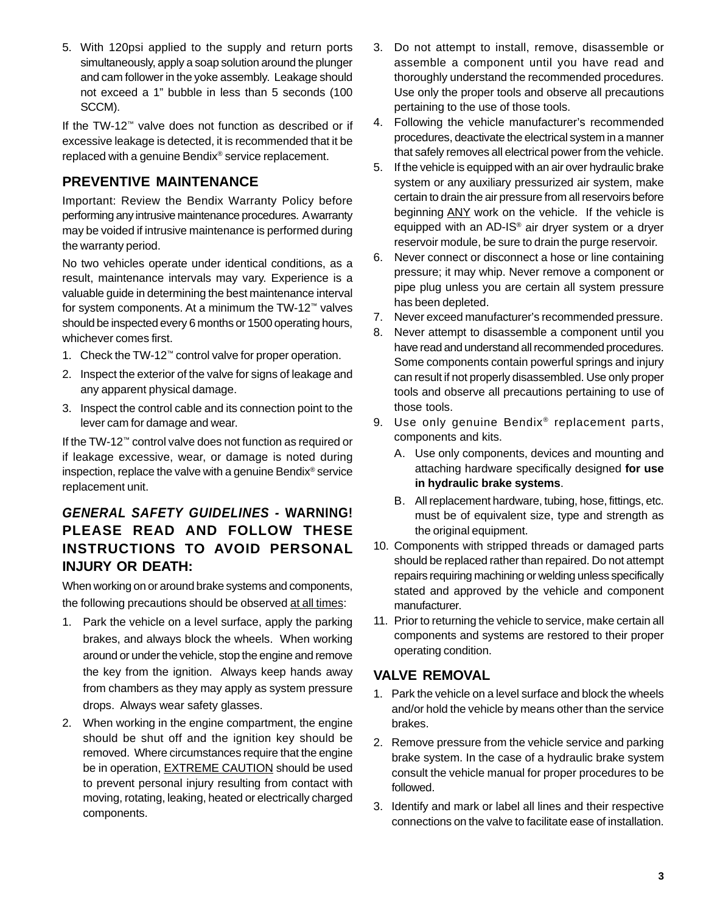5. With 120psi applied to the supply and return ports simultaneously, apply a soap solution around the plunger and cam follower in the yoke assembly. Leakage should not exceed a 1" bubble in less than 5 seconds (100 SCCM).

If the TW-12™ valve does not function as described or if excessive leakage is detected, it is recommended that it be replaced with a genuine Bendix® service replacement.

## **PREVENTIVE MAINTENANCE**

Important: Review the Bendix Warranty Policy before performing any intrusive maintenance procedures. A warranty may be voided if intrusive maintenance is performed during the warranty period.

No two vehicles operate under identical conditions, as a result, maintenance intervals may vary. Experience is a valuable guide in determining the best maintenance interval for system components. At a minimum the TW-12™ valves should be inspected every 6 months or 1500 operating hours, whichever comes first.

- 1. Check the TW-12™ control valve for proper operation.
- 2. Inspect the exterior of the valve for signs of leakage and any apparent physical damage.
- 3. Inspect the control cable and its connection point to the lever cam for damage and wear.

If the TW-12™ control valve does not function as required or if leakage excessive, wear, or damage is noted during inspection, replace the valve with a genuine Bendix® service replacement unit.

## *GENERAL SAFETY GUIDELINES -* **WARNING! PLEASE READ AND FOLLOW THESE INSTRUCTIONS TO AVOID PERSONAL INJURY OR DEATH:**

When working on or around brake systems and components, the following precautions should be observed at all times:

- 1. Park the vehicle on a level surface, apply the parking brakes, and always block the wheels. When working around or under the vehicle, stop the engine and remove the key from the ignition. Always keep hands away from chambers as they may apply as system pressure drops. Always wear safety glasses.
- 2. When working in the engine compartment, the engine should be shut off and the ignition key should be removed. Where circumstances require that the engine be in operation, EXTREME CAUTION should be used to prevent personal injury resulting from contact with moving, rotating, leaking, heated or electrically charged components.
- 3. Do not attempt to install, remove, disassemble or assemble a component until you have read and thoroughly understand the recommended procedures. Use only the proper tools and observe all precautions pertaining to the use of those tools.
- 4. Following the vehicle manufacturer's recommended procedures, deactivate the electrical system in a manner that safely removes all electrical power from the vehicle.
- 5. If the vehicle is equipped with an air over hydraulic brake system or any auxiliary pressurized air system, make certain to drain the air pressure from all reservoirs before beginning ANY work on the vehicle. If the vehicle is equipped with an AD-IS® air dryer system or a dryer reservoir module, be sure to drain the purge reservoir.
- 6. Never connect or disconnect a hose or line containing pressure; it may whip. Never remove a component or pipe plug unless you are certain all system pressure has been depleted.
- 7. Never exceed manufacturer's recommended pressure.
- 8. Never attempt to disassemble a component until you have read and understand all recommended procedures. Some components contain powerful springs and injury can result if not properly disassembled. Use only proper tools and observe all precautions pertaining to use of those tools.
- 9. Use only genuine Bendix<sup>®</sup> replacement parts, components and kits.
	- A. Use only components, devices and mounting and attaching hardware specifically designed **for use in hydraulic brake systems**.
	- B. All replacement hardware, tubing, hose, fittings, etc. must be of equivalent size, type and strength as the original equipment.
- 10. Components with stripped threads or damaged parts should be replaced rather than repaired. Do not attempt repairs requiring machining or welding unless specifically stated and approved by the vehicle and component manufacturer.
- 11. Prior to returning the vehicle to service, make certain all components and systems are restored to their proper operating condition.

## **VALVE REMOVAL**

- 1. Park the vehicle on a level surface and block the wheels and/or hold the vehicle by means other than the service brakes.
- 2. Remove pressure from the vehicle service and parking brake system. In the case of a hydraulic brake system consult the vehicle manual for proper procedures to be followed.
- 3. Identify and mark or label all lines and their respective connections on the valve to facilitate ease of installation.